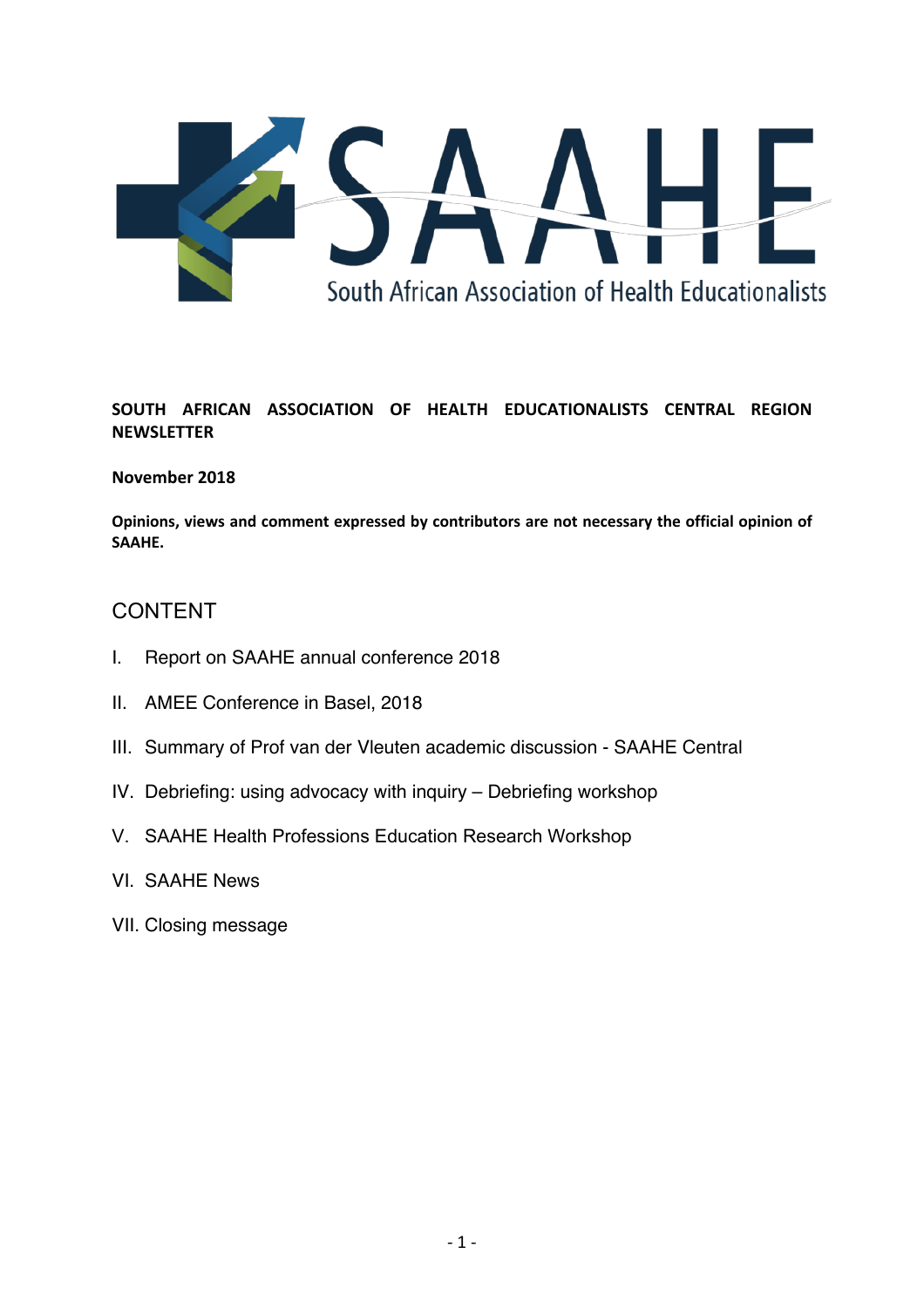

# **SOUTH AFRICAN ASSOCIATION OF HEALTH EDUCATIONALISTS CENTRAL REGION NEWSLETTER**

# **November 2018**

**Opinions, views and comment expressed by contributors are not necessary the official opinion of SAAHE.**

# CONTENT

- I. Report on SAAHE annual conference 2018
- II. AMEE Conference in Basel, 2018
- III. Summary of Prof van der Vleuten academic discussion SAAHE Central
- IV. Debriefing: using advocacy with inquiry Debriefing workshop
- V. SAAHE Health Professions Education Research Workshop
- VI. SAAHE News
- VII. Closing message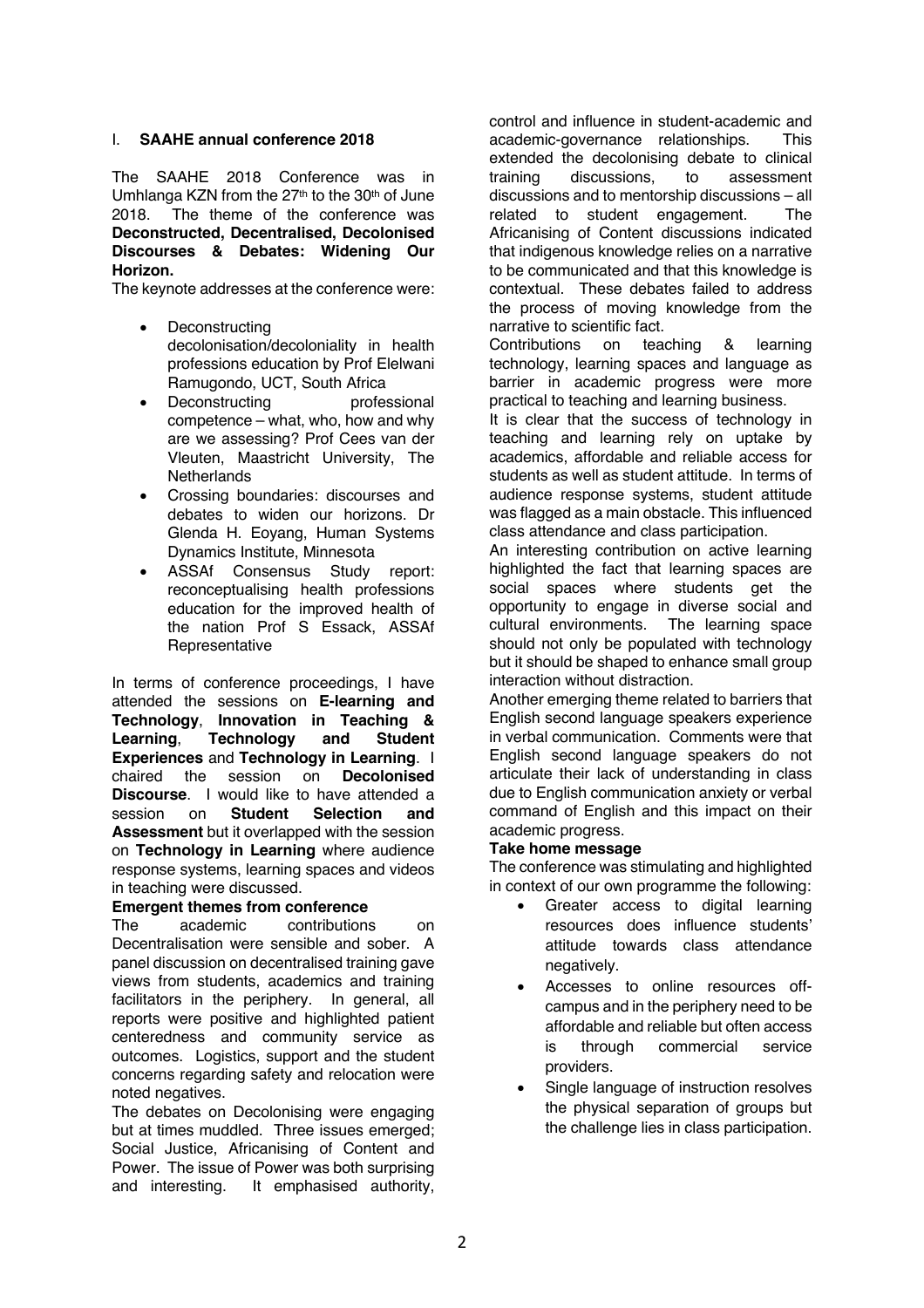## I. **SAAHE annual conference 2018**

The SAAHE 2018 Conference was in Umhlanga KZN from the 27<sup>th</sup> to the 30<sup>th</sup> of June 2018. The theme of the conference was **Deconstructed, Decentralised, Decolonised Discourses & Debates: Widening Our Horizon.** 

The keynote addresses at the conference were:

- **Deconstructing** decolonisation/decoloniality in health professions education by Prof Elelwani Ramugondo, UCT, South Africa
- Deconstructing professional competence – what, who, how and why are we assessing? Prof Cees van der Vleuten, Maastricht University, The **Netherlands**
- Crossing boundaries: discourses and debates to widen our horizons. Dr Glenda H. Eoyang, Human Systems Dynamics Institute, Minnesota
- ASSAf Consensus Study report: reconceptualising health professions education for the improved health of the nation Prof S Essack, ASSAf **Representative**

In terms of conference proceedings, I have attended the sessions on **E-learning and Technology**, **Innovation in Teaching & Learning**, **Technology and Student Experiences** and **Technology in Learning**. I chaired the session on **Decolonised Discourse**. I would like to have attended a<br>session on **Student Selection and** session on **Student Selection and Assessment** but it overlapped with the session on **Technology in Learning** where audience response systems, learning spaces and videos in teaching were discussed.

# **Emergent themes from conference**

The academic contributions on Decentralisation were sensible and sober. A panel discussion on decentralised training gave views from students, academics and training facilitators in the periphery. In general, all reports were positive and highlighted patient centeredness and community service as outcomes. Logistics, support and the student concerns regarding safety and relocation were noted negatives.

The debates on Decolonising were engaging but at times muddled. Three issues emerged; Social Justice, Africanising of Content and Power. The issue of Power was both surprising and interesting. It emphasised authority,

control and influence in student-academic and academic-governance relationships. This extended the decolonising debate to clinical training discussions, to assessment discussions and to mentorship discussions – all related to student engagement. The Africanising of Content discussions indicated that indigenous knowledge relies on a narrative to be communicated and that this knowledge is contextual. These debates failed to address the process of moving knowledge from the narrative to scientific fact.

Contributions on teaching & learning technology, learning spaces and language as barrier in academic progress were more practical to teaching and learning business.

It is clear that the success of technology in teaching and learning rely on uptake by academics, affordable and reliable access for students as well as student attitude. In terms of audience response systems, student attitude was flagged as a main obstacle. This influenced class attendance and class participation.

An interesting contribution on active learning highlighted the fact that learning spaces are social spaces where students get the opportunity to engage in diverse social and cultural environments. The learning space should not only be populated with technology but it should be shaped to enhance small group interaction without distraction.

Another emerging theme related to barriers that English second language speakers experience in verbal communication. Comments were that English second language speakers do not articulate their lack of understanding in class due to English communication anxiety or verbal command of English and this impact on their academic progress.

### **Take home message**

The conference was stimulating and highlighted in context of our own programme the following:

- Greater access to digital learning resources does influence students' attitude towards class attendance negatively.
- Accesses to online resources offcampus and in the periphery need to be affordable and reliable but often access is through commercial service providers.
- Single language of instruction resolves the physical separation of groups but the challenge lies in class participation.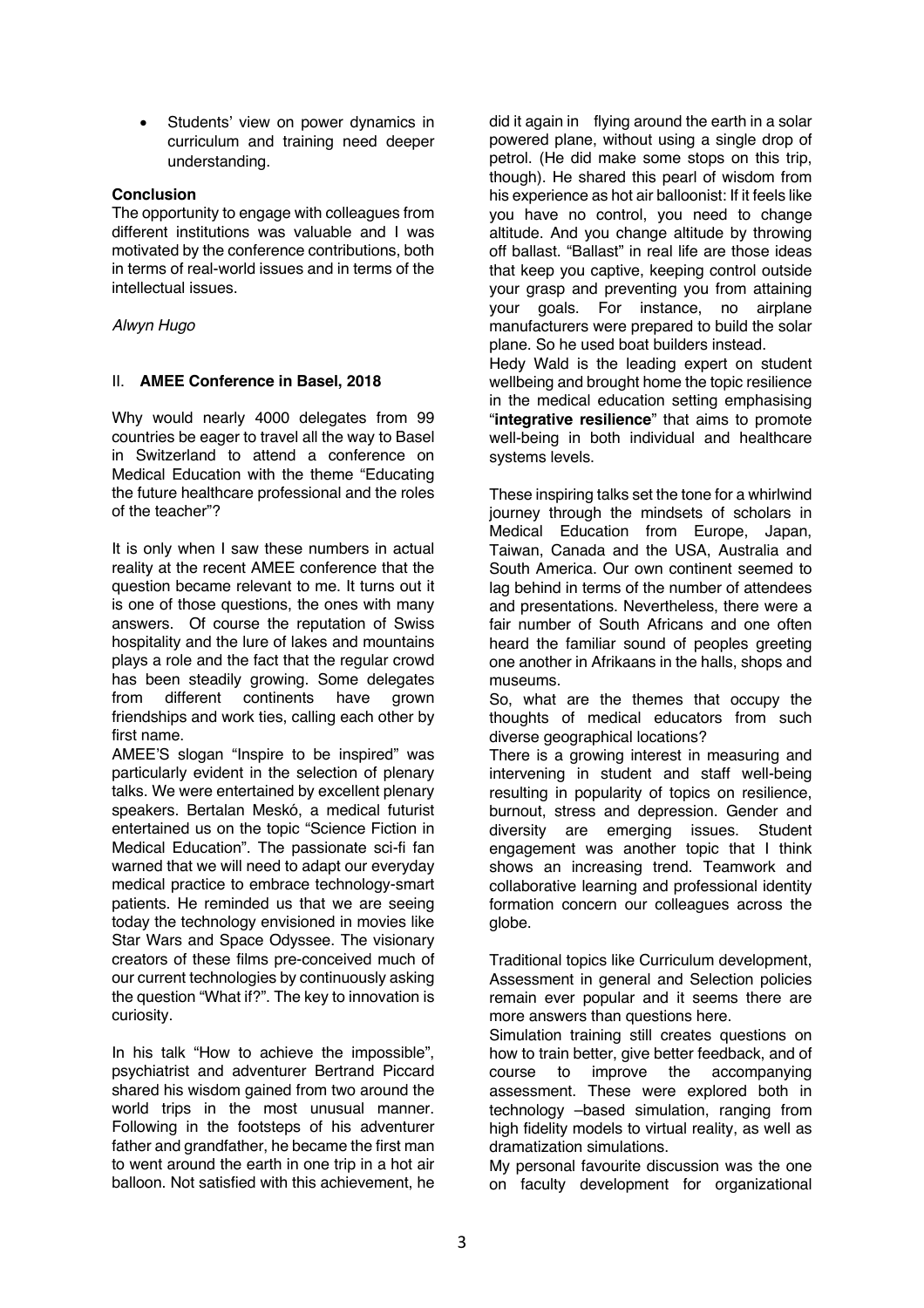• Students' view on power dynamics in curriculum and training need deeper understanding.

## **Conclusion**

The opportunity to engage with colleagues from different institutions was valuable and I was motivated by the conference contributions, both in terms of real-world issues and in terms of the intellectual issues.

## *Alwyn Hugo*

# II. **AMEE Conference in Basel, 2018**

Why would nearly 4000 delegates from 99 countries be eager to travel all the way to Basel in Switzerland to attend a conference on Medical Education with the theme "Educating the future healthcare professional and the roles of the teacher"?

It is only when I saw these numbers in actual reality at the recent AMEE conference that the question became relevant to me. It turns out it is one of those questions, the ones with many answers. Of course the reputation of Swiss hospitality and the lure of lakes and mountains plays a role and the fact that the regular crowd has been steadily growing. Some delegates from different continents have grown friendships and work ties, calling each other by first name.

AMEE'S slogan "Inspire to be inspired" was particularly evident in the selection of plenary talks. We were entertained by excellent plenary speakers. Bertalan Meskó, a medical futurist entertained us on the topic "Science Fiction in Medical Education". The passionate sci-fi fan warned that we will need to adapt our everyday medical practice to embrace technology-smart patients. He reminded us that we are seeing today the technology envisioned in movies like Star Wars and Space Odyssee. The visionary creators of these films pre-conceived much of our current technologies by continuously asking the question "What if?". The key to innovation is curiosity.

In his talk "How to achieve the impossible", psychiatrist and adventurer Bertrand Piccard shared his wisdom gained from two around the world trips in the most unusual manner. Following in the footsteps of his adventurer father and grandfather, he became the first man to went around the earth in one trip in a hot air balloon. Not satisfied with this achievement, he

did it again in flying around the earth in a solar powered plane, without using a single drop of petrol. (He did make some stops on this trip, though). He shared this pearl of wisdom from his experience as hot air balloonist: If it feels like you have no control, you need to change altitude. And you change altitude by throwing off ballast. "Ballast" in real life are those ideas that keep you captive, keeping control outside your grasp and preventing you from attaining your goals. For instance, no airplane manufacturers were prepared to build the solar plane. So he used boat builders instead.

Hedy Wald is the leading expert on student wellbeing and brought home the topic resilience in the medical education setting emphasising "**integrative resilience**" that aims to promote well-being in both individual and healthcare systems levels.

These inspiring talks set the tone for a whirlwind journey through the mindsets of scholars in Medical Education from Europe, Japan, Taiwan, Canada and the USA, Australia and South America. Our own continent seemed to lag behind in terms of the number of attendees and presentations. Nevertheless, there were a fair number of South Africans and one often heard the familiar sound of peoples greeting one another in Afrikaans in the halls, shops and museums.

So, what are the themes that occupy the thoughts of medical educators from such diverse geographical locations?

There is a growing interest in measuring and intervening in student and staff well-being resulting in popularity of topics on resilience, burnout, stress and depression. Gender and diversity are emerging issues. Student engagement was another topic that I think shows an increasing trend. Teamwork and collaborative learning and professional identity formation concern our colleagues across the globe.

Traditional topics like Curriculum development, Assessment in general and Selection policies remain ever popular and it seems there are more answers than questions here.

Simulation training still creates questions on how to train better, give better feedback, and of course to improve the accompanying assessment. These were explored both in technology –based simulation, ranging from high fidelity models to virtual reality, as well as dramatization simulations.

My personal favourite discussion was the one on faculty development for organizational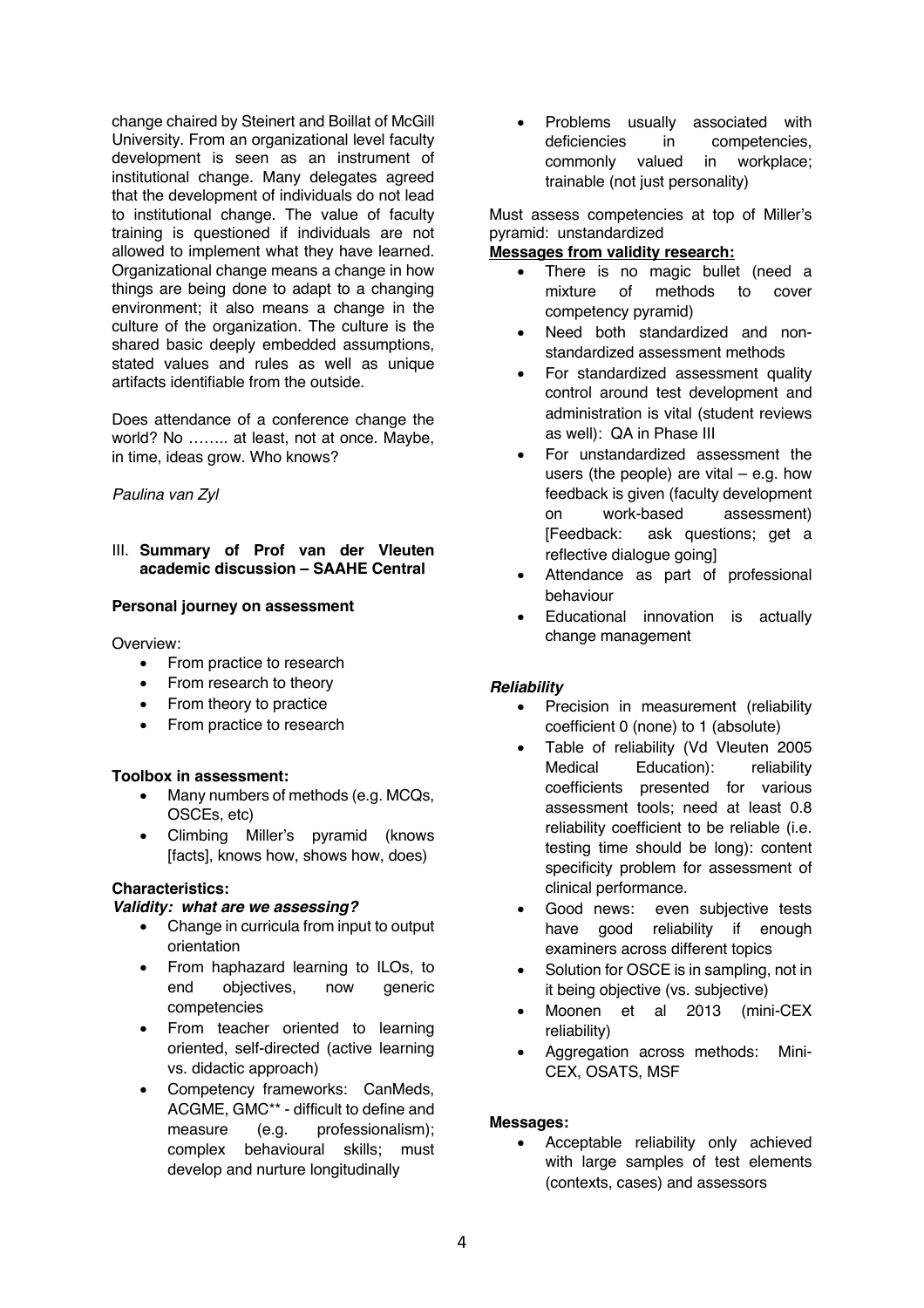change chaired by Steinert and Boillat of McGill University. From an organizational level faculty development is seen as an instrument of institutional change. Many delegates agreed that the development of individuals do not lead to institutional change. The value of faculty training is questioned if individuals are not allowed to implement what they have learned. Organizational change means a change in how things are being done to adapt to a changing environment; it also means a change in the culture of the organization. The culture is the shared basic deeply embedded assumptions, stated values and rules as well as unique artifacts identifiable from the outside.

Does attendance of a conference change the world? No …….. at least, not at once. Maybe, in time, ideas grow. Who knows?

### *Paulina van Zyl*

### III. **Summary of Prof van der Vleuten academic discussion – SAAHE Central**

### **Personal journey on assessment**

Overview:

- From practice to research
- From research to theory
- From theory to practice
- From practice to research

#### **Toolbox in assessment:**

- Many numbers of methods (e.g. MCQs, OSCEs, etc)
- Climbing Miller's pyramid (knows [facts], knows how, shows how, does)

#### **Characteristics:**

#### *Validity: what are we assessing?*

- Change in curricula from input to output orientation
- From haphazard learning to ILOs, to end objectives, now generic competencies
- From teacher oriented to learning oriented, self-directed (active learning vs. didactic approach)
- Competency frameworks: CanMeds, ACGME, GMC\*\* - difficult to define and measure (e.g. professionalism): complex behavioural skills; must develop and nurture longitudinally

• Problems usually associated with deficiencies in competencies, commonly valued in workplace; trainable (not just personality)

Must assess competencies at top of Miller's pyramid: unstandardized

### **Messages from validity research:**

- There is no magic bullet (need a mixture of methods to cover competency pyramid)
- Need both standardized and nonstandardized assessment methods
- For standardized assessment quality control around test development and administration is vital (student reviews as well): QA in Phase III
- For unstandardized assessment the users (the people) are vital  $-$  e.g. how feedback is given (faculty development on work-based assessment) [Feedback: ask questions; get a reflective dialogue going]
- Attendance as part of professional behaviour
- Educational innovation is actually change management

### *Reliability*

- Precision in measurement (reliability coefficient 0 (none) to 1 (absolute)
- Table of reliability (Vd Vleuten 2005 Medical Education): reliability coefficients presented for various assessment tools; need at least 0.8 reliability coefficient to be reliable (i.e. testing time should be long): content specificity problem for assessment of clinical performance.
- Good news: even subjective tests have good reliability if enough examiners across different topics
- Solution for OSCE is in sampling, not in it being objective (vs. subjective)
- Moonen et al 2013 (mini-CEX reliability)
- Aggregation across methods: Mini-CEX, OSATS, MSF

### **Messages:**

• Acceptable reliability only achieved with large samples of test elements (contexts, cases) and assessors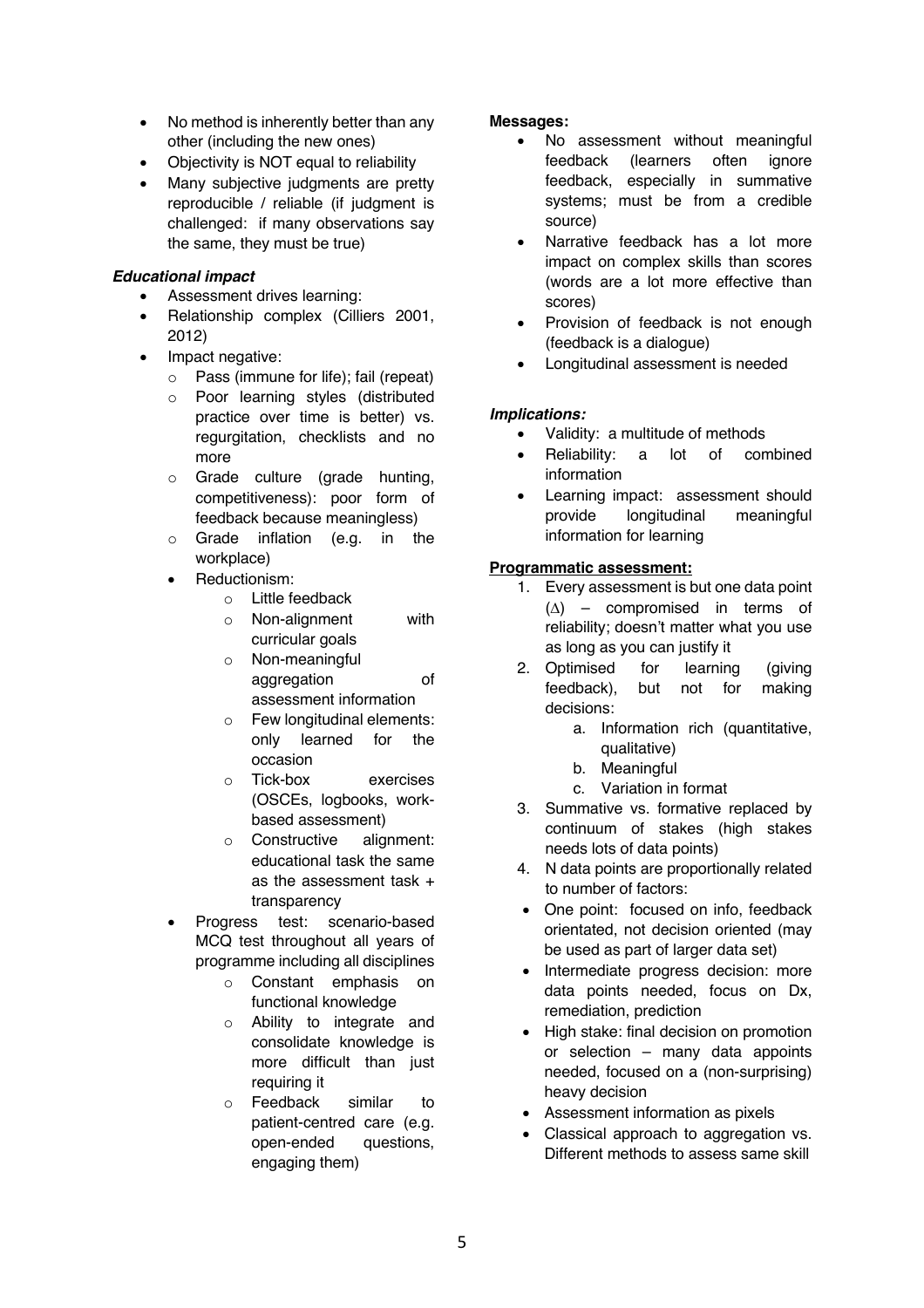- No method is inherently better than any other (including the new ones)
- Objectivity is NOT equal to reliability
- Many subjective judgments are pretty reproducible / reliable (if judgment is challenged: if many observations say the same, they must be true)

# *Educational impact*

- Assessment drives learning:
- Relationship complex (Cilliers 2001, 2012)
- Impact negative:
	- o Pass (immune for life); fail (repeat)
	- o Poor learning styles (distributed practice over time is better) vs. regurgitation, checklists and no more
	- o Grade culture (grade hunting, competitiveness): poor form of feedback because meaningless)
	- o Grade inflation (e.g. in the workplace)
	- Reductionism:
		- o Little feedback
		- o Non-alignment with curricular goals
		- o Non-meaningful aggregation of assessment information
		- o Few longitudinal elements: only learned for the occasion
		- o Tick-box exercises (OSCEs, logbooks, workbased assessment)
		- o Constructive alignment: educational task the same as the assessment task + transparency
	- Progress test: scenario-based MCQ test throughout all years of programme including all disciplines
		- o Constant emphasis on functional knowledge
		- o Ability to integrate and consolidate knowledge is more difficult than just requiring it
		- o Feedback similar to patient-centred care (e.g. open-ended questions, engaging them)

# **Messages:**

- No assessment without meaningful feedback (learners often ignore feedback, especially in summative systems; must be from a credible source)
- Narrative feedback has a lot more impact on complex skills than scores (words are a lot more effective than scores)
- Provision of feedback is not enough (feedback is a dialogue)
- Longitudinal assessment is needed

# *Implications:*

- Validity: a multitude of methods
- Reliability: a lot of combined information
- Learning impact: assessment should provide longitudinal meaningful information for learning

# **Programmatic assessment:**

- 1. Every assessment is but one data point  $(\Delta)$  – compromised in terms of reliability; doesn't matter what you use as long as you can justify it
- 2. Optimised for learning (giving feedback), but not for making decisions:
	- a. Information rich (quantitative, qualitative)
	- b. Meaningful
	- c. Variation in format
- 3. Summative vs. formative replaced by continuum of stakes (high stakes needs lots of data points)
- 4. N data points are proportionally related to number of factors:
- One point: focused on info, feedback orientated, not decision oriented (may be used as part of larger data set)
- Intermediate progress decision: more data points needed, focus on Dx, remediation, prediction
- High stake: final decision on promotion or selection – many data appoints needed, focused on a (non-surprising) heavy decision
- Assessment information as pixels
- Classical approach to aggregation vs. Different methods to assess same skill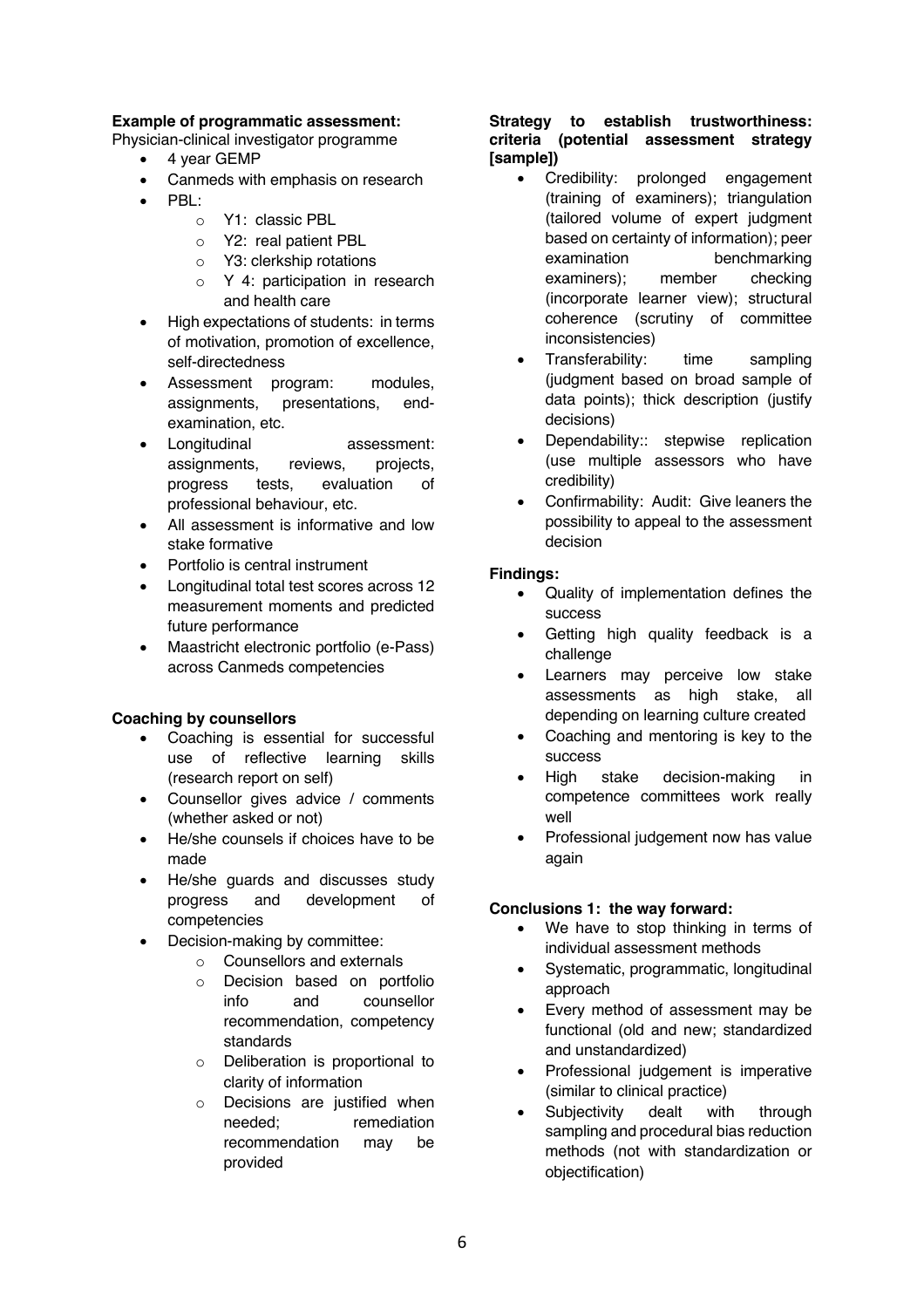## **Example of programmatic assessment:**

Physician-clinical investigator programme

- 4 year GEMP
- Canmeds with emphasis on research
- PBL:
	- o Y1: classic PBL
	- o Y2: real patient PBL
	- o Y3: clerkship rotations
	- o Y 4: participation in research and health care
- High expectations of students: in terms of motivation, promotion of excellence, self-directedness
- Assessment program: modules, assignments, presentations, endexamination, etc.
- Longitudinal assessment: assignments, reviews, projects, progress tests, evaluation of professional behaviour, etc.
- All assessment is informative and low stake formative
- Portfolio is central instrument
- Longitudinal total test scores across 12 measurement moments and predicted future performance
- Maastricht electronic portfolio (e-Pass) across Canmeds competencies

### **Coaching by counsellors**

- Coaching is essential for successful use of reflective learning skills (research report on self)
- Counsellor gives advice / comments (whether asked or not)
- He/she counsels if choices have to be made
- He/she guards and discusses study progress and development of competencies
- Decision-making by committee:
	- o Counsellors and externals
	- o Decision based on portfolio info and counsellor recommendation, competency standards
	- o Deliberation is proportional to clarity of information
	- o Decisions are justified when needed; remediation recommendation may be provided

## **Strategy to establish trustworthiness: criteria (potential assessment strategy [sample])**

- Credibility: prolonged engagement (training of examiners); triangulation (tailored volume of expert judgment based on certainty of information); peer examination benchmarking examiners); member checking (incorporate learner view); structural coherence (scrutiny of committee inconsistencies)
- Transferability: time sampling (judgment based on broad sample of data points); thick description (justify decisions)
- Dependability:: stepwise replication (use multiple assessors who have credibility)
- Confirmability: Audit: Give leaners the possibility to appeal to the assessment decision

### **Findings:**

- Quality of implementation defines the success
- Getting high quality feedback is a challenge
- Learners may perceive low stake assessments as high stake, all depending on learning culture created
- Coaching and mentoring is key to the success
- High stake decision-making in competence committees work really well
- Professional judgement now has value again

# **Conclusions 1: the way forward:**

- We have to stop thinking in terms of individual assessment methods
- Systematic, programmatic, longitudinal approach
- Every method of assessment may be functional (old and new; standardized and unstandardized)
- Professional judgement is imperative (similar to clinical practice)
- Subjectivity dealt with through sampling and procedural bias reduction methods (not with standardization or objectification)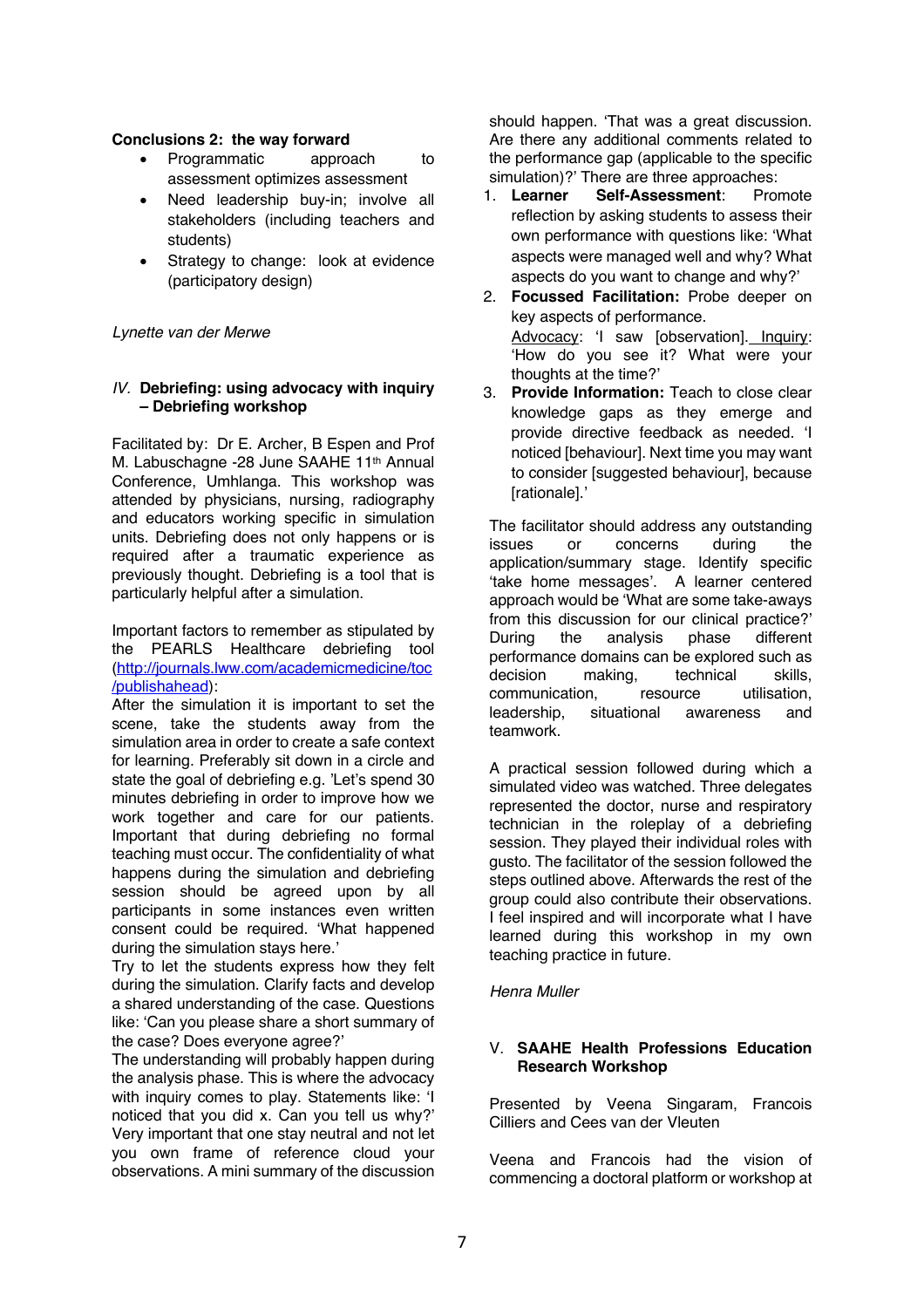### **Conclusions 2: the way forward**

- Programmatic approach to assessment optimizes assessment
- Need leadership buy-in; involve all stakeholders (including teachers and students)
- Strategy to change: look at evidence (participatory design)

*Lynette van der Merwe*

### *IV.* **Debriefing: using advocacy with inquiry – Debriefing workshop**

Facilitated by: Dr E. Archer, B Espen and Prof M. Labuschagne -28 June SAAHE 11<sup>th</sup> Annual Conference, Umhlanga. This workshop was attended by physicians, nursing, radiography and educators working specific in simulation units. Debriefing does not only happens or is required after a traumatic experience as previously thought. Debriefing is a tool that is particularly helpful after a simulation.

Important factors to remember as stipulated by the PEARLS Healthcare debriefing tool (http://journals.lww.com/academicmedicine/toc /publishahead):

After the simulation it is important to set the scene, take the students away from the simulation area in order to create a safe context for learning. Preferably sit down in a circle and state the goal of debriefing e.g. 'Let's spend 30 minutes debriefing in order to improve how we work together and care for our patients. Important that during debriefing no formal teaching must occur. The confidentiality of what happens during the simulation and debriefing session should be agreed upon by all participants in some instances even written consent could be required. 'What happened during the simulation stays here.'

Try to let the students express how they felt during the simulation. Clarify facts and develop a shared understanding of the case. Questions like: 'Can you please share a short summary of the case? Does everyone agree?'

The understanding will probably happen during the analysis phase. This is where the advocacy with inquiry comes to play. Statements like: 'I noticed that you did x. Can you tell us why?' Very important that one stay neutral and not let you own frame of reference cloud your observations. A mini summary of the discussion

should happen. 'That was a great discussion. Are there any additional comments related to the performance gap (applicable to the specific simulation)?' There are three approaches:

- 1. **Learner Self-Assessment**: Promote reflection by asking students to assess their own performance with questions like: 'What aspects were managed well and why? What aspects do you want to change and why?'
- 2. **Focussed Facilitation:** Probe deeper on key aspects of performance. Advocacy: 'I saw [observation]. Inquiry: 'How do you see it? What were your thoughts at the time?'
- 3. **Provide Information:** Teach to close clear knowledge gaps as they emerge and provide directive feedback as needed. 'I noticed [behaviour]. Next time you may want to consider [suggested behaviour], because [rationale].'

The facilitator should address any outstanding issues or concerns during the application/summary stage. Identify specific 'take home messages'. A learner centered approach would be 'What are some take-aways from this discussion for our clinical practice?' During the analysis phase different performance domains can be explored such as decision making, technical skills, communication, resource utilisation, leadership, situational awareness and teamwork.

A practical session followed during which a simulated video was watched. Three delegates represented the doctor, nurse and respiratory technician in the roleplay of a debriefing session. They played their individual roles with gusto. The facilitator of the session followed the steps outlined above. Afterwards the rest of the group could also contribute their observations. I feel inspired and will incorporate what I have learned during this workshop in my own teaching practice in future.

*Henra Muller*

## V. **SAAHE Health Professions Education Research Workshop**

Presented by Veena Singaram, Francois Cilliers and Cees van der Vleuten

Veena and Francois had the vision of commencing a doctoral platform or workshop at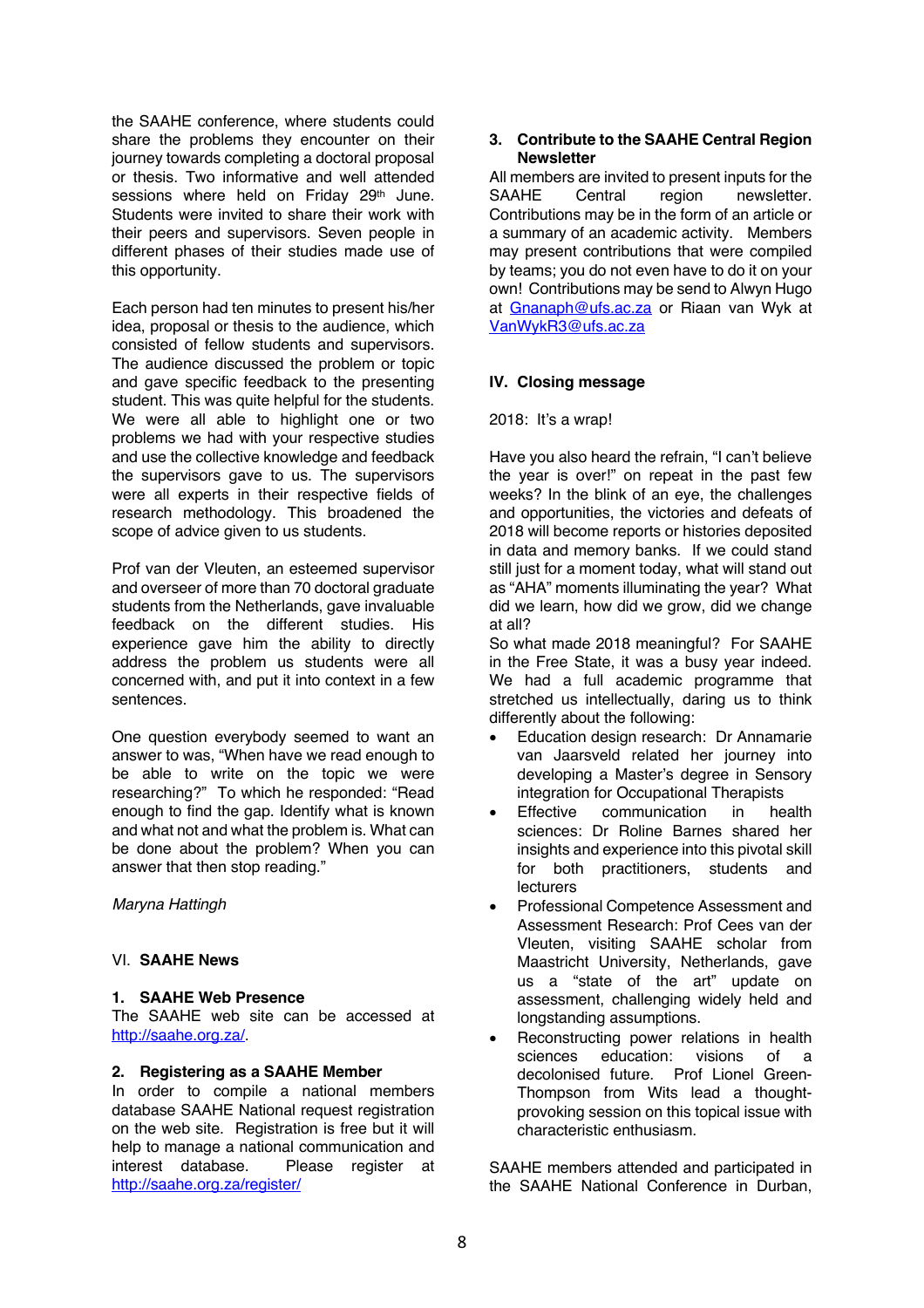the SAAHE conference, where students could share the problems they encounter on their journey towards completing a doctoral proposal or thesis. Two informative and well attended sessions where held on Friday 29<sup>th</sup> June. Students were invited to share their work with their peers and supervisors. Seven people in different phases of their studies made use of this opportunity.

Each person had ten minutes to present his/her idea, proposal or thesis to the audience, which consisted of fellow students and supervisors. The audience discussed the problem or topic and gave specific feedback to the presenting student. This was quite helpful for the students. We were all able to highlight one or two problems we had with your respective studies and use the collective knowledge and feedback the supervisors gave to us. The supervisors were all experts in their respective fields of research methodology. This broadened the scope of advice given to us students.

Prof van der Vleuten, an esteemed supervisor and overseer of more than 70 doctoral graduate students from the Netherlands, gave invaluable feedback on the different studies. His experience gave him the ability to directly address the problem us students were all concerned with, and put it into context in a few sentences.

One question everybody seemed to want an answer to was, "When have we read enough to be able to write on the topic we were researching?" To which he responded: "Read enough to find the gap. Identify what is known and what not and what the problem is. What can be done about the problem? When you can answer that then stop reading."

*Maryna Hattingh*

### VI. **SAAHE News**

#### **1. SAAHE Web Presence**

The SAAHE web site can be accessed at http://saahe.org.za/.

#### **2. Registering as a SAAHE Member**

In order to compile a national members database SAAHE National request registration on the web site. Registration is free but it will help to manage a national communication and interest database. Please register at http://saahe.org.za/register/

### **3. Contribute to the SAAHE Central Region Newsletter**

All members are invited to present inputs for the SAAHE Central region newsletter. Contributions may be in the form of an article or a summary of an academic activity. Members may present contributions that were compiled by teams; you do not even have to do it on your own! Contributions may be send to Alwyn Hugo at Gnanaph@ufs.ac.za or Riaan van Wyk at VanWykR3@ufs.ac.za

### **IV. Closing message**

#### 2018: It's a wrap!

Have you also heard the refrain, "I can't believe the year is over!" on repeat in the past few weeks? In the blink of an eye, the challenges and opportunities, the victories and defeats of 2018 will become reports or histories deposited in data and memory banks. If we could stand still just for a moment today, what will stand out as "AHA" moments illuminating the year? What did we learn, how did we grow, did we change at all?

So what made 2018 meaningful? For SAAHE in the Free State, it was a busy year indeed. We had a full academic programme that stretched us intellectually, daring us to think differently about the following:

- Education design research: Dr Annamarie van Jaarsveld related her journey into developing a Master's degree in Sensory integration for Occupational Therapists<br>Effective communication in he
- communication in health sciences: Dr Roline Barnes shared her insights and experience into this pivotal skill for both practitioners, students and **lecturers**
- Professional Competence Assessment and Assessment Research: Prof Cees van der Vleuten, visiting SAAHE scholar from Maastricht University, Netherlands, gave us a "state of the art" update on assessment, challenging widely held and longstanding assumptions.
- Reconstructing power relations in health sciences education: visions of a decolonised future. Prof Lionel Green-Thompson from Wits lead a thoughtprovoking session on this topical issue with characteristic enthusiasm.

SAAHE members attended and participated in the SAAHE National Conference in Durban,